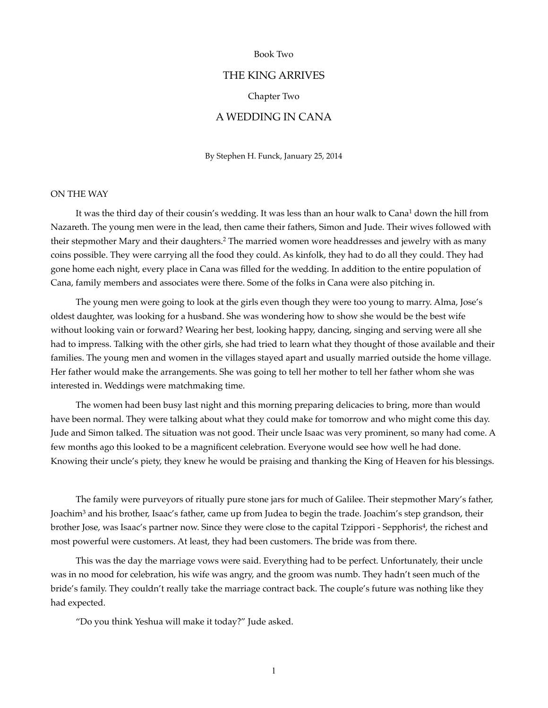#### Book Two

# THE KING ARRIVES

#### Chapter Two

## A WEDDING IN CANA

By Stephen H. Funck, January 25, 2014

#### ON THE WAY

It was the third day of their cousin's wedding. It was less than an hour walk to Cana<sup>1</sup> down the hill from Nazareth. The young men were in the lead, then came their fathers, Simon and Jude. Their wives followed with their stepmother Mary and their daughters.<sup>2</sup> The married women wore headdresses and jewelry with as many coins possible. They were carrying all the food they could. As kinfolk, they had to do all they could. They had gone home each night, every place in Cana was filled for the wedding. In addition to the entire population of Cana, family members and associates were there. Some of the folks in Cana were also pitching in.

 The young men were going to look at the girls even though they were too young to marry. Alma, Jose's oldest daughter, was looking for a husband. She was wondering how to show she would be the best wife without looking vain or forward? Wearing her best*,* looking happy, dancing, singing and serving were all she had to impress. Talking with the other girls, she had tried to learn what they thought of those available and their families. The young men and women in the villages stayed apart and usually married outside the home village. Her father would make the arrangements. She was going to tell her mother to tell her father whom she was interested in. Weddings were matchmaking time.

 The women had been busy last night and this morning preparing delicacies to bring, more than would have been normal. They were talking about what they could make for tomorrow and who might come this day. Jude and Simon talked. The situation was not good. Their uncle Isaac was very prominent, so many had come. A few months ago this looked to be a magnificent celebration. Everyone would see how well he had done. Knowing their uncle's piety, they knew he would be praising and thanking the King of Heaven for his blessings.

 The family were purveyors of ritually pure stone jars for much of Galilee. Their stepmother Mary's father, Joachim<sup>3</sup> and his brother, Isaac's father, came up from Judea to begin the trade. Joachim's step grandson, their brother Jose, was Isaac's partner now. Since they were close to the capital Tzippori - Sepphoris<sup>4</sup>, the richest and most powerful were customers. At least, they had been customers. The bride was from there.

 This was the day the marriage vows were said. Everything had to be perfect. Unfortunately, their uncle was in no mood for celebration, his wife was angry, and the groom was numb. They hadn't seen much of the bride's family. They couldn't really take the marriage contract back. The couple's future was nothing like they had expected.

"Do you think Yeshua will make it today?" Jude asked.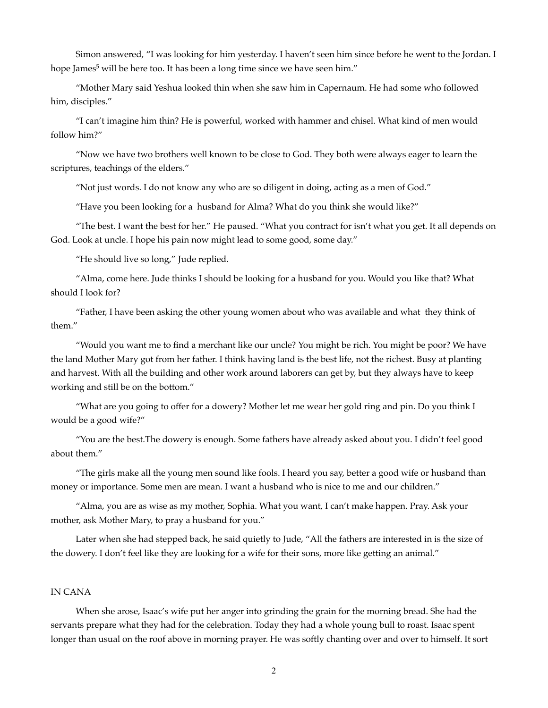Simon answered, "I was looking for him yesterday. I haven't seen him since before he went to the Jordan. I hope James<sup>5</sup> will be here too. It has been a long time since we have seen him."

 "Mother Mary said Yeshua looked thin when she saw him in Capernaum. He had some who followed him, disciples."

 "I can't imagine him thin? He is powerful, worked with hammer and chisel. What kind of men would follow him?"

 "Now we have two brothers well known to be close to God. They both were always eager to learn the scriptures, teachings of the elders."

"Not just words. I do not know any who are so diligent in doing, acting as a men of God."

"Have you been looking for a husband for Alma? What do you think she would like?"

 "The best. I want the best for her." He paused. "What you contract for isn't what you get. It all depends on God. Look at uncle. I hope his pain now might lead to some good, some day."

"He should live so long," Jude replied.

 "Alma, come here. Jude thinks I should be looking for a husband for you. Would you like that? What should I look for?

 "Father, I have been asking the other young women about who was available and what they think of them."

 "Would you want me to find a merchant like our uncle? You might be rich. You might be poor? We have the land Mother Mary got from her father. I think having land is the best life, not the richest. Busy at planting and harvest. With all the building and other work around laborers can get by, but they always have to keep working and still be on the bottom."

 "What are you going to offer for a dowery? Mother let me wear her gold ring and pin. Do you think I would be a good wife?"

 "You are the best.The dowery is enough. Some fathers have already asked about you. I didn't feel good about them."

 "The girls make all the young men sound like fools. I heard you say, better a good wife or husband than money or importance. Some men are mean. I want a husband who is nice to me and our children."

 "Alma, you are as wise as my mother, Sophia. What you want, I can't make happen. Pray. Ask your mother, ask Mother Mary, to pray a husband for you."

 Later when she had stepped back, he said quietly to Jude, "All the fathers are interested in is the size of the dowery. I don't feel like they are looking for a wife for their sons, more like getting an animal."

### IN CANA

 When she arose, Isaac's wife put her anger into grinding the grain for the morning bread. She had the servants prepare what they had for the celebration. Today they had a whole young bull to roast. Isaac spent longer than usual on the roof above in morning prayer. He was softly chanting over and over to himself. It sort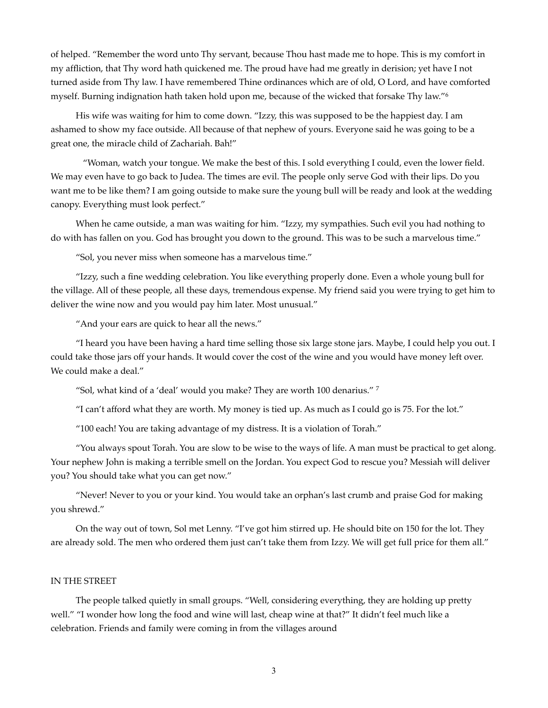of helped. "Remember the word unto Thy servant, because Thou hast made me to hope. This is my comfort in my affliction, that Thy word hath quickened me. The proud have had me greatly in derision; yet have I not turned aside from Thy law. I have remembered Thine ordinances which are of old, O Lord, and have comforted myself. Burning indignation hath taken hold upon me, because of the wicked that forsake Thy law."<sup>6</sup>

 His wife was waiting for him to come down. "Izzy, this was supposed to be the happiest day. I am ashamed to show my face outside. All because of that nephew of yours. Everyone said he was going to be a great one, the miracle child of Zachariah. Bah!"

"Woman, watch your tongue. We make the best of this. I sold everything I could, even the lower field. We may even have to go back to Judea. The times are evil. The people only serve God with their lips. Do you want me to be like them? I am going outside to make sure the young bull will be ready and look at the wedding canopy. Everything must look perfect."

 When he came outside, a man was waiting for him. "Izzy, my sympathies. Such evil you had nothing to do with has fallen on you. God has brought you down to the ground. This was to be such a marvelous time."

"Sol, you never miss when someone has a marvelous time."

 "Izzy, such a fine wedding celebration. You like everything properly done. Even a whole young bull for the village. All of these people, all these days, tremendous expense. My friend said you were trying to get him to deliver the wine now and you would pay him later. Most unusual."

"And your ears are quick to hear all the news."

 "I heard you have been having a hard time selling those six large stone jars. Maybe, I could help you out. I could take those jars off your hands. It would cover the cost of the wine and you would have money left over. We could make a deal."

"Sol, what kind of a 'deal' would you make? They are worth 100 denarius." 7

"I can't afford what they are worth. My money is tied up. As much as I could go is 75. For the lot."

"100 each! You are taking advantage of my distress. It is a violation of Torah."

 "You always spout Torah. You are slow to be wise to the ways of life. A man must be practical to get along. Your nephew John is making a terrible smell on the Jordan. You expect God to rescue you? Messiah will deliver you? You should take what you can get now."

 "Never! Never to you or your kind. You would take an orphan's last crumb and praise God for making you shrewd."

 On the way out of town, Sol met Lenny. "I've got him stirred up. He should bite on 150 for the lot. They are already sold. The men who ordered them just can't take them from Izzy. We will get full price for them all."

#### IN THE STREET

 The people talked quietly in small groups. "Well, considering everything, they are holding up pretty well." "I wonder how long the food and wine will last, cheap wine at that?" It didn't feel much like a celebration. Friends and family were coming in from the villages around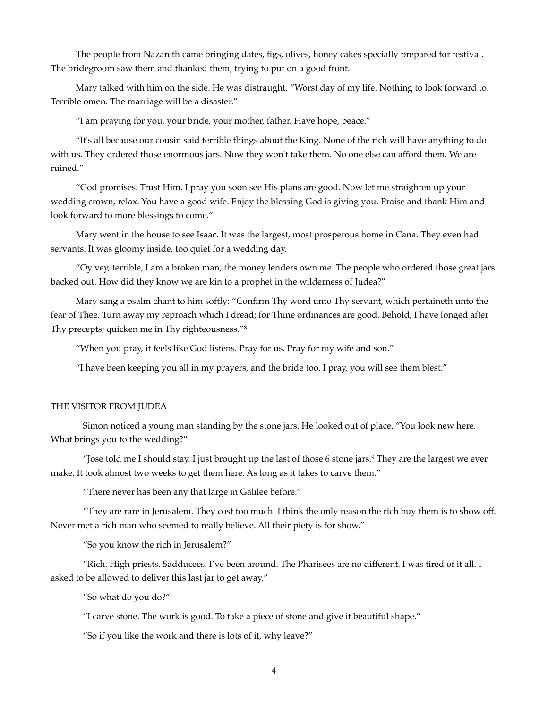The people from Nazareth came bringing dates, figs, olives, honey cakes specially prepared for festival. The bridegroom saw them and thanked them, trying to put on a good front.

 Mary talked with him on the side. He was distraught, "Worst day of my life. Nothing to look forward to. Terrible omen. The marriage will be a disaster."

"I am praying for you, your bride, your mother, father. Have hope, peace."

 "It's all because our cousin said terrible things about the King. None of the rich will have anything to do with us. They ordered those enormous jars. Now they won't take them. No one else can afford them. We are ruined."

 "God promises. Trust Him. I pray you soon see His plans are good. Now let me straighten up your wedding crown, relax. You have a good wife. Enjoy the blessing God is giving you. Praise and thank Him and look forward to more blessings to come."

 Mary went in the house to see Isaac. It was the largest, most prosperous home in Cana. They even had servants. It was gloomy inside, too quiet for a wedding day.

 "Oy vey, terrible, I am a broken man, the money lenders own me. The people who ordered those great jars backed out. How did they know we are kin to a prophet in the wilderness of Judea?"

 Mary sang a psalm chant to him softly: "Confirm Thy word unto Thy servant, which pertaineth unto the fear of Thee. Turn away my reproach which I dread; for Thine ordinances are good. Behold, I have longed after Thy precepts; quicken me in Thy righteousness."8

"When you pray, it feels like God listens. Pray for us. Pray for my wife and son."

"I have been keeping you all in my prayers, and the bride too. I pray, you will see them blest."

#### THE VISITOR FROM JUDEA

Simon noticed a young man standing by the stone jars. He looked out of place. "You look new here. What brings you to the wedding?"

"Jose told me I should stay. I just brought up the last of those 6 stone jars. They are the largest we ever 9 make. It took almost two weeks to get them here. As long as it takes to carve them."

"There never has been any that large in Galilee before."

"They are rare in Jerusalem. They cost too much. I think the only reason the rich buy them is to show off. Never met a rich man who seemed to really believe. All their piety is for show."

"So you know the rich in Jerusalem?"

"Rich. High priests. Sadducees. I've been around. The Pharisees are no different. I was tired of it all. I asked to be allowed to deliver this last jar to get away."

"So what do you do?"

"I carve stone. The work is good. To take a piece of stone and give it beautiful shape."

"So if you like the work and there is lots of it, why leave?"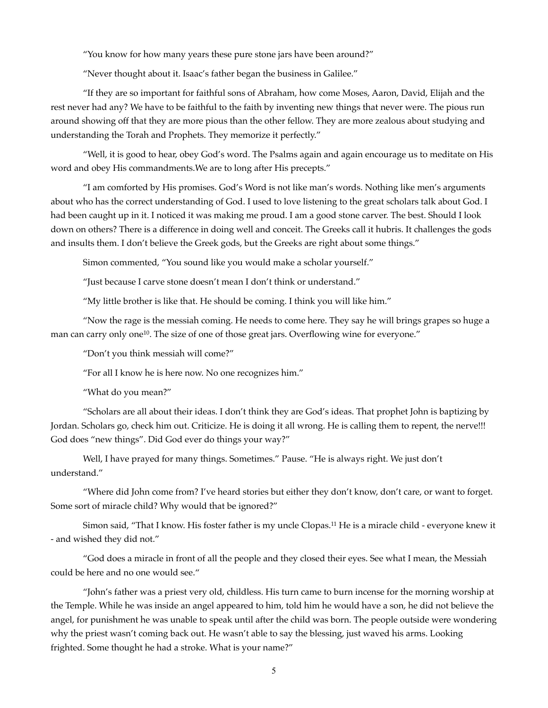"You know for how many years these pure stone jars have been around?"

"Never thought about it. Isaac's father began the business in Galilee."

"If they are so important for faithful sons of Abraham, how come Moses, Aaron, David, Elijah and the rest never had any? We have to be faithful to the faith by inventing new things that never were. The pious run around showing off that they are more pious than the other fellow. They are more zealous about studying and understanding the Torah and Prophets. They memorize it perfectly."

"Well, it is good to hear, obey God's word. The Psalms again and again encourage us to meditate on His word and obey His commandments.We are to long after His precepts."

"I am comforted by His promises. God's Word is not like man's words. Nothing like men's arguments about who has the correct understanding of God. I used to love listening to the great scholars talk about God. I had been caught up in it. I noticed it was making me proud. I am a good stone carver. The best. Should I look down on others? There is a difference in doing well and conceit. The Greeks call it hubris. It challenges the gods and insults them. I don't believe the Greek gods, but the Greeks are right about some things."

Simon commented, "You sound like you would make a scholar yourself."

"Just because I carve stone doesn't mean I don't think or understand."

"My little brother is like that. He should be coming. I think you will like him."

"Now the rage is the messiah coming. He needs to come here. They say he will brings grapes so huge a man can carry only one<sup>10</sup>. The size of one of those great jars. Overflowing wine for everyone."

"Don't you think messiah will come?"

"For all I know he is here now. No one recognizes him."

"What do you mean?"

"Scholars are all about their ideas. I don't think they are God's ideas. That prophet John is baptizing by Jordan. Scholars go, check him out. Criticize. He is doing it all wrong. He is calling them to repent, the nerve!!! God does "new things". Did God ever do things your way?"

Well, I have prayed for many things. Sometimes." Pause. "He is always right. We just don't understand."

"Where did John come from? I've heard stories but either they don't know, don't care, or want to forget. Some sort of miracle child? Why would that be ignored?"

Simon said, "That I know. His foster father is my uncle Clopas.<sup>11</sup> He is a miracle child - everyone knew it - and wished they did not."

"God does a miracle in front of all the people and they closed their eyes. See what I mean, the Messiah could be here and no one would see."

"John's father was a priest very old, childless. His turn came to burn incense for the morning worship at the Temple. While he was inside an angel appeared to him, told him he would have a son, he did not believe the angel, for punishment he was unable to speak until after the child was born. The people outside were wondering why the priest wasn't coming back out. He wasn't able to say the blessing, just waved his arms. Looking frighted. Some thought he had a stroke. What is your name?"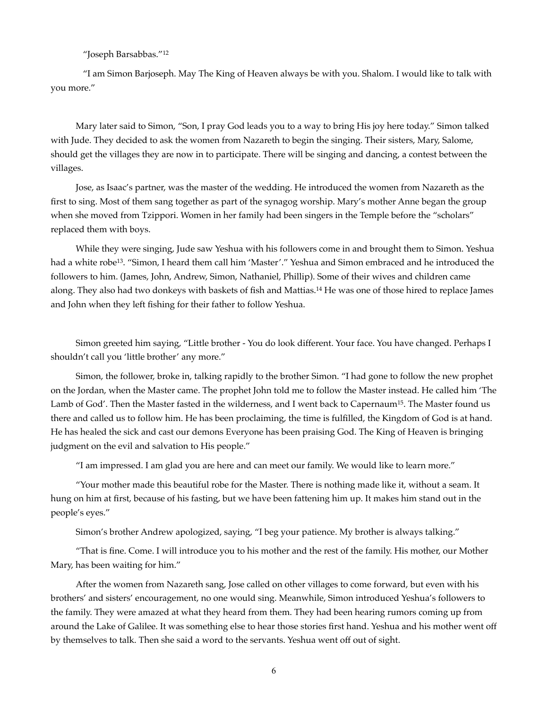"Joseph Barsabbas."12

"I am Simon Barjoseph. May The King of Heaven always be with you. Shalom. I would like to talk with you more."

 Mary later said to Simon, "Son, I pray God leads you to a way to bring His joy here today." Simon talked with Jude. They decided to ask the women from Nazareth to begin the singing. Their sisters, Mary, Salome, should get the villages they are now in to participate. There will be singing and dancing, a contest between the villages.

 Jose, as Isaac's partner, was the master of the wedding. He introduced the women from Nazareth as the first to sing. Most of them sang together as part of the synagog worship. Mary's mother Anne began the group when she moved from Tzippori. Women in her family had been singers in the Temple before the "scholars" replaced them with boys.

 While they were singing, Jude saw Yeshua with his followers come in and brought them to Simon. Yeshua had a white robe<sup>13</sup>. "Simon, I heard them call him 'Master'." Yeshua and Simon embraced and he introduced the followers to him. (James, John, Andrew, Simon, Nathaniel, Phillip). Some of their wives and children came along. They also had two donkeys with baskets of fish and Mattias.<sup>14</sup> He was one of those hired to replace James and John when they left fishing for their father to follow Yeshua.

 Simon greeted him saying, "Little brother - You do look different. Your face. You have changed. Perhaps I shouldn't call you 'little brother' any more."

 Simon, the follower, broke in, talking rapidly to the brother Simon. "I had gone to follow the new prophet on the Jordan, when the Master came. The prophet John told me to follow the Master instead. He called him 'The Lamb of God'. Then the Master fasted in the wilderness, and I went back to Capernaum<sup>15</sup>. The Master found us there and called us to follow him. He has been proclaiming, the time is fulfilled, the Kingdom of God is at hand. He has healed the sick and cast our demons Everyone has been praising God. The King of Heaven is bringing judgment on the evil and salvation to His people."

"I am impressed. I am glad you are here and can meet our family. We would like to learn more."

 "Your mother made this beautiful robe for the Master. There is nothing made like it, without a seam. It hung on him at first, because of his fasting, but we have been fattening him up. It makes him stand out in the people's eyes."

Simon's brother Andrew apologized, saying, "I beg your patience. My brother is always talking."

 "That is fine. Come. I will introduce you to his mother and the rest of the family. His mother, our Mother Mary, has been waiting for him."

 After the women from Nazareth sang, Jose called on other villages to come forward, but even with his brothers' and sisters' encouragement, no one would sing. Meanwhile, Simon introduced Yeshua's followers to the family. They were amazed at what they heard from them. They had been hearing rumors coming up from around the Lake of Galilee. It was something else to hear those stories first hand. Yeshua and his mother went off by themselves to talk. Then she said a word to the servants. Yeshua went off out of sight.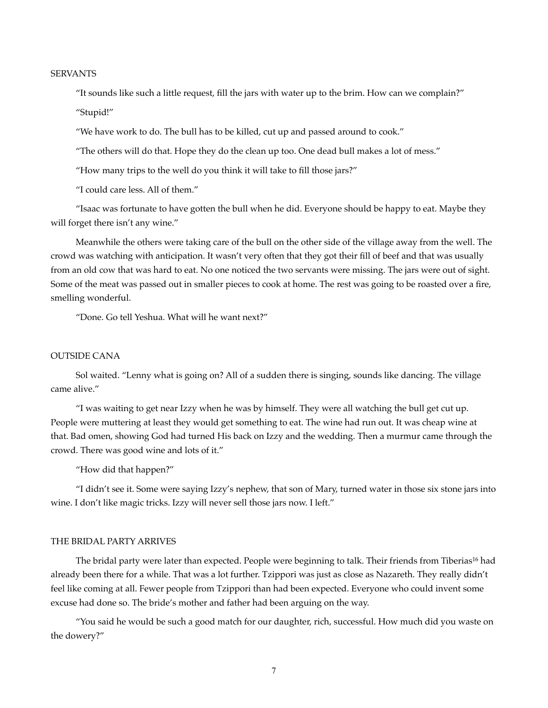## **SERVANTS**

 "It sounds like such a little request, fill the jars with water up to the brim. How can we complain?" "Stupid!"

"We have work to do. The bull has to be killed, cut up and passed around to cook."

"The others will do that. Hope they do the clean up too. One dead bull makes a lot of mess."

"How many trips to the well do you think it will take to fill those jars?"

"I could care less. All of them."

 "Isaac was fortunate to have gotten the bull when he did. Everyone should be happy to eat. Maybe they will forget there isn't any wine."

 Meanwhile the others were taking care of the bull on the other side of the village away from the well. The crowd was watching with anticipation. It wasn't very often that they got their fill of beef and that was usually from an old cow that was hard to eat. No one noticed the two servants were missing. The jars were out of sight. Some of the meat was passed out in smaller pieces to cook at home. The rest was going to be roasted over a fire, smelling wonderful.

"Done. Go tell Yeshua. What will he want next?"

#### OUTSIDE CANA

 Sol waited. "Lenny what is going on? All of a sudden there is singing, sounds like dancing. The village came alive."

 "I was waiting to get near Izzy when he was by himself. They were all watching the bull get cut up. People were muttering at least they would get something to eat. The wine had run out. It was cheap wine at that. Bad omen, showing God had turned His back on Izzy and the wedding. Then a murmur came through the crowd. There was good wine and lots of it."

"How did that happen?"

 "I didn't see it. Some were saying Izzy's nephew, that son of Mary, turned water in those six stone jars into wine. I don't like magic tricks. Izzy will never sell those jars now. I left."

#### THE BRIDAL PARTY ARRIVES

The bridal party were later than expected. People were beginning to talk. Their friends from Tiberias<sup>16</sup> had already been there for a while. That was a lot further. Tzippori was just as close as Nazareth. They really didn't feel like coming at all. Fewer people from Tzippori than had been expected. Everyone who could invent some excuse had done so. The bride's mother and father had been arguing on the way.

 "You said he would be such a good match for our daughter, rich, successful. How much did you waste on the dowery?"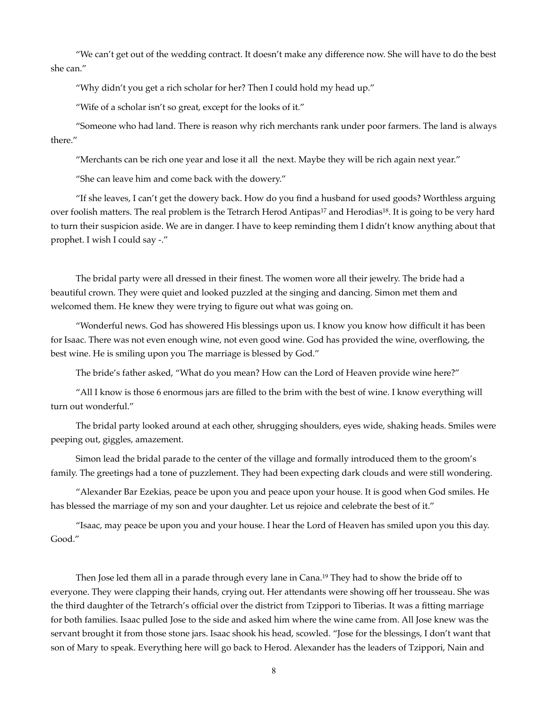"We can't get out of the wedding contract. It doesn't make any difference now. She will have to do the best she can."

"Why didn't you get a rich scholar for her? Then I could hold my head up."

"Wife of a scholar isn't so great, except for the looks of it."

 "Someone who had land. There is reason why rich merchants rank under poor farmers. The land is always there."

"Merchants can be rich one year and lose it all the next. Maybe they will be rich again next year."

"She can leave him and come back with the dowery."

 "If she leaves, I can't get the dowery back. How do you find a husband for used goods? Worthless arguing over foolish matters. The real problem is the Tetrarch Herod Antipas<sup>17</sup> and Herodias<sup>18</sup>. It is going to be very hard to turn their suspicion aside. We are in danger. I have to keep reminding them I didn't know anything about that prophet. I wish I could say -."

 The bridal party were all dressed in their finest. The women wore all their jewelry. The bride had a beautiful crown. They were quiet and looked puzzled at the singing and dancing. Simon met them and welcomed them. He knew they were trying to figure out what was going on.

 "Wonderful news. God has showered His blessings upon us. I know you know how difficult it has been for Isaac. There was not even enough wine, not even good wine. God has provided the wine, overflowing, the best wine. He is smiling upon you The marriage is blessed by God."

The bride's father asked, "What do you mean? How can the Lord of Heaven provide wine here?"

 "All I know is those 6 enormous jars are filled to the brim with the best of wine. I know everything will turn out wonderful."

 The bridal party looked around at each other, shrugging shoulders, eyes wide, shaking heads. Smiles were peeping out, giggles, amazement.

 Simon lead the bridal parade to the center of the village and formally introduced them to the groom's family. The greetings had a tone of puzzlement. They had been expecting dark clouds and were still wondering.

 "Alexander Bar Ezekias, peace be upon you and peace upon your house. It is good when God smiles. He has blessed the marriage of my son and your daughter. Let us rejoice and celebrate the best of it."

 "Isaac, may peace be upon you and your house. I hear the Lord of Heaven has smiled upon you this day. Good."

Then Jose led them all in a parade through every lane in Cana.<sup>19</sup> They had to show the bride off to everyone. They were clapping their hands, crying out. Her attendants were showing off her trousseau. She was the third daughter of the Tetrarch's official over the district from Tzippori to Tiberias. It was a fitting marriage for both families. Isaac pulled Jose to the side and asked him where the wine came from. All Jose knew was the servant brought it from those stone jars. Isaac shook his head, scowled. "Jose for the blessings, I don't want that son of Mary to speak. Everything here will go back to Herod. Alexander has the leaders of Tzippori, Nain and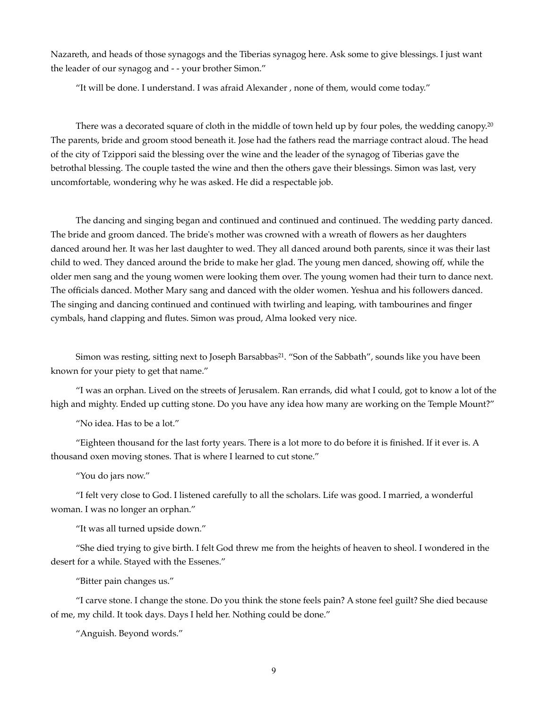Nazareth, and heads of those synagogs and the Tiberias synagog here. Ask some to give blessings. I just want the leader of our synagog and - - your brother Simon."

"It will be done. I understand. I was afraid Alexander , none of them, would come today."

There was a decorated square of cloth in the middle of town held up by four poles, the wedding canopy.<sup>20</sup> The parents, bride and groom stood beneath it. Jose had the fathers read the marriage contract aloud. The head of the city of Tzippori said the blessing over the wine and the leader of the synagog of Tiberias gave the betrothal blessing. The couple tasted the wine and then the others gave their blessings. Simon was last, very uncomfortable, wondering why he was asked. He did a respectable job.

 The dancing and singing began and continued and continued and continued. The wedding party danced. The bride and groom danced. The bride's mother was crowned with a wreath of flowers as her daughters danced around her. It was her last daughter to wed. They all danced around both parents, since it was their last child to wed. They danced around the bride to make her glad. The young men danced, showing off, while the older men sang and the young women were looking them over. The young women had their turn to dance next. The officials danced. Mother Mary sang and danced with the older women. Yeshua and his followers danced. The singing and dancing continued and continued with twirling and leaping, with tambourines and finger cymbals, hand clapping and flutes. Simon was proud, Alma looked very nice.

Simon was resting, sitting next to Joseph Barsabbas<sup>21</sup>. "Son of the Sabbath", sounds like you have been known for your piety to get that name."

 "I was an orphan. Lived on the streets of Jerusalem. Ran errands, did what I could, got to know a lot of the high and mighty. Ended up cutting stone. Do you have any idea how many are working on the Temple Mount?"

"No idea. Has to be a lot."

 "Eighteen thousand for the last forty years. There is a lot more to do before it is finished. If it ever is. A thousand oxen moving stones. That is where I learned to cut stone."

"You do jars now."

 "I felt very close to God. I listened carefully to all the scholars. Life was good. I married, a wonderful woman. I was no longer an orphan."

"It was all turned upside down."

 "She died trying to give birth. I felt God threw me from the heights of heaven to sheol. I wondered in the desert for a while. Stayed with the Essenes."

"Bitter pain changes us."

 "I carve stone. I change the stone. Do you think the stone feels pain? A stone feel guilt? She died because of me, my child. It took days. Days I held her. Nothing could be done."

"Anguish. Beyond words."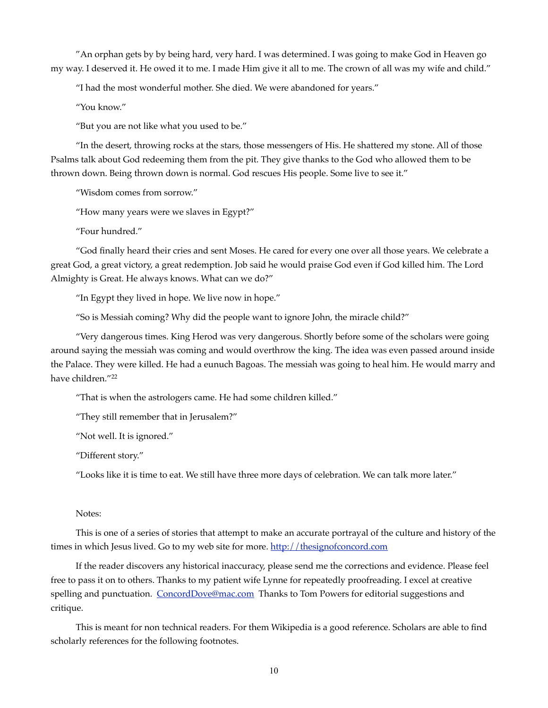"An orphan gets by by being hard, very hard. I was determined. I was going to make God in Heaven go my way. I deserved it. He owed it to me. I made Him give it all to me. The crown of all was my wife and child."

"I had the most wonderful mother. She died. We were abandoned for years."

"You know."

"But you are not like what you used to be."

 "In the desert, throwing rocks at the stars, those messengers of His. He shattered my stone. All of those Psalms talk about God redeeming them from the pit. They give thanks to the God who allowed them to be thrown down. Being thrown down is normal. God rescues His people. Some live to see it."

"Wisdom comes from sorrow."

"How many years were we slaves in Egypt?"

"Four hundred."

 "God finally heard their cries and sent Moses. He cared for every one over all those years. We celebrate a great God, a great victory, a great redemption. Job said he would praise God even if God killed him. The Lord Almighty is Great. He always knows. What can we do?"

"In Egypt they lived in hope. We live now in hope."

"So is Messiah coming? Why did the people want to ignore John, the miracle child?"

 "Very dangerous times. King Herod was very dangerous. Shortly before some of the scholars were going around saying the messiah was coming and would overthrow the king. The idea was even passed around inside the Palace. They were killed. He had a eunuch Bagoas. The messiah was going to heal him. He would marry and have children."22

"That is when the astrologers came. He had some children killed."

"They still remember that in Jerusalem?"

"Not well. It is ignored."

"Different story."

"Looks like it is time to eat. We still have three more days of celebration. We can talk more later."

#### Notes:

 This is one of a series of stories that attempt to make an accurate portrayal of the culture and history of the times in which Jesus lived. Go to my web site for more. http://thesignofconcord.com

 If the reader discovers any historical inaccuracy, please send me the corrections and evidence. Please feel free to pass it on to others. Thanks to my patient wife Lynne for repeatedly proofreading. I excel at creative spelling and punctuation. ConcordDove@mac.com Thanks to Tom Powers for editorial suggestions and critique.

 This is meant for non technical readers. For them Wikipedia is a good reference. Scholars are able to find scholarly references for the following footnotes.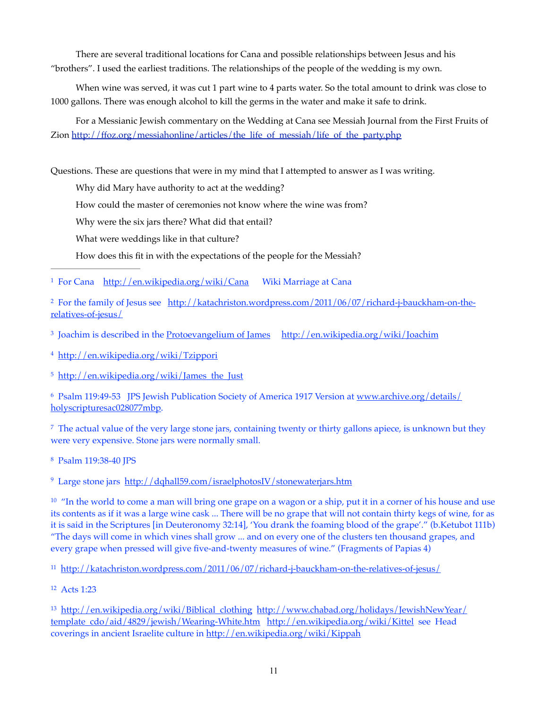There are several traditional locations for Cana and possible relationships between Jesus and his "brothers". I used the earliest traditions. The relationships of the people of the wedding is my own.

 When wine was served, it was cut 1 part wine to 4 parts water. So the total amount to drink was close to 1000 gallons. There was enough alcohol to kill the germs in the water and make it safe to drink.

 For a Messianic Jewish commentary on the Wedding at Cana see Messiah Journal from the First Fruits of Zion http://ffoz.org/messiahonline/articles/the\_life\_of\_messiah/life\_of\_the\_party.php

Questions. These are questions that were in my mind that I attempted to answer as I was writing.

Why did Mary have authority to act at the wedding?

How could the master of ceremonies not know where the wine was from?

Why were the six jars there? What did that entail?

What were weddings like in that culture?

How does this fit in with the expectations of the people for the Messiah?

<sup>1</sup> For Cana http://en.wikipedia.org/wiki/Cana Wiki Marriage at Cana

<sup>2</sup> For the family of Jesus see http://katachriston.wordpress.com/2011/06/07/richard-j-bauckham-on-therelatives-of-jesus/

<sup>3</sup> Joachim is described in the Protoevangelium of James http://en.wikipedia.org/wiki/Joachim

http://en.wikipedia.org/wiki/Tzippori 4

 $5$  http://en.wikipedia.org/wiki/James the Just

<sup>6</sup> Psalm 119:49-53 JPS Jewish Publication Society of America 1917 Version at www.archive.org/details/ holyscripturesac028077mbp.

<sup>7</sup> The actual value of the very large stone jars, containing twenty or thirty gallons apiece, is unknown but they were very expensive. Stone jars were normally small.

<sup>8</sup> Psalm 119:38-40 IPS

<sup>9</sup> Large stone jars http://dqhall59.com/israelphotosIV/stonewaterjars.htm

<sup>10</sup> "In the world to come a man will bring one grape on a wagon or a ship, put it in a corner of his house and use its contents as if it was a large wine cask ... There will be no grape that will not contain thirty kegs of wine, for as it is said in the Scriptures [in Deuteronomy 32:14], 'You drank the foaming blood of the grape'." (b.Ketubot 111b) "The days will come in which vines shall grow ... and on every one of the clusters ten thousand grapes, and every grape when pressed will give five-and-twenty measures of wine." (Fragments of Papias 4)

11 http://katachriston.wordpress.com/2011/06/07/richard-j-bauckham-on-the-relatives-of-jesus/

 $12$  Acts 1:23

<sup>13</sup> http://en.wikipedia.org/wiki/Biblical\_clothing http://www.chabad.org/holidays/JewishNewYear/ template\_cdo/aid/4829/jewish/Wearing-White.htm http://en.wikipedia.org/wiki/Kittel see Head coverings in ancient Israelite culture in http://en.wikipedia.org/wiki/Kippah